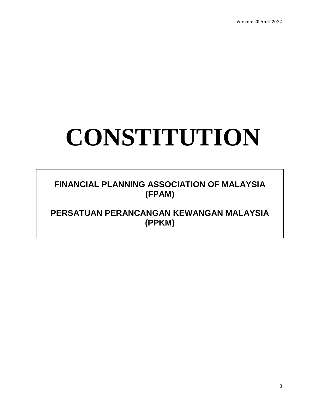# **CONSTITUTION**

### **FINANCIAL PLANNING ASSOCIATION OF MALAYSIA (FPAM)**

## **PERSATUAN PERANCANGAN KEWANGAN MALAYSIA (PPKM)**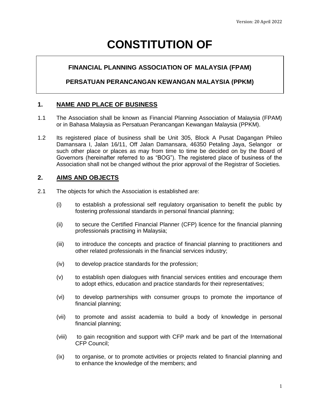# **CONSTITUTION OF**

#### **FINANCIAL PLANNING ASSOCIATION OF MALAYSIA (FPAM)**

#### **PERSATUAN PERANCANGAN KEWANGAN MALAYSIA (PPKM)**

#### **1. NAME AND PLACE OF BUSINESS**

- 1.1 The Association shall be known as Financial Planning Association of Malaysia (FPAM) or in Bahasa Malaysia as Persatuan Perancangan Kewangan Malaysia (PPKM).
- 1.2 Its registered place of business shall be Unit 305, Block A Pusat Dagangan Phileo Damansara I, Jalan 16/11, Off Jalan Damansara, 46350 Petaling Jaya, Selangor or such other place or places as may from time to time be decided on by the Board of Governors (hereinafter referred to as "BOG"). The registered place of business of the Association shall not be changed without the prior approval of the Registrar of Societies.

#### **2. AIMS AND OBJECTS**

- 2.1 The objects for which the Association is established are:
	- (i) to establish a professional self regulatory organisation to benefit the public by fostering professional standards in personal financial planning;
	- (ii) to secure the Certified Financial Planner (CFP) licence for the financial planning professionals practising in Malaysia;
	- (iii) to introduce the concepts and practice of financial planning to practitioners and other related professionals in the financial services industry;
	- (iv) to develop practice standards for the profession;
	- (v) to establish open dialogues with financial services entities and encourage them to adopt ethics, education and practice standards for their representatives;
	- (vi) to develop partnerships with consumer groups to promote the importance of financial planning;
	- (vii) to promote and assist academia to build a body of knowledge in personal financial planning;
	- (viii) to gain recognition and support with CFP mark and be part of the International CFP Council;
	- (ix) to organise, or to promote activities or projects related to financial planning and to enhance the knowledge of the members; and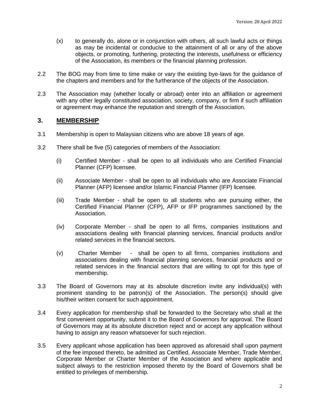- (x) to generally do, alone or in conjunction with others, all such lawful acts or things as may be incidental or conducive to the attainment of all or any of the above objects, or promoting, furthering, protecting the interests, usefulness or efficiency of the Association, its members or the financial planning profession.
- 2.2 The BOG may from time to time make or vary the existing bye-laws for the guidance of the chapters and members and for the furtherance of the objects of the Association.
- 2.3 The Association may (whether locally or abroad) enter into an affiliation or agreement with any other legally constituted association, society, company, or firm if such affiliation or agreement may enhance the reputation and strength of the Association.

#### **3. MEMBERSHIP**

- 3.1 Membership is open to Malaysian citizens who are above 18 years of age.
- 3.2 There shall be five (5) categories of members of the Association:
	- (i) Certified Member shall be open to all individuals who are Certified Financial Planner (CFP) licensee.
	- (ii) Associate Member shall be open to all individuals who are Associate Financial Planner (AFP) licensee and/or Islamic Financial Planner (IFP) licensee.
	- (iii) Trade Member shall be open to all students who are pursuing either, the Certified Financial Planner (CFP), AFP or IFP programmes sanctioned by the Association.
	- (iv) Corporate Member shall be open to all firms, companies institutions and associations dealing with financial planning services, financial products and/or related services in the financial sectors.
	- (v) Charter Member shall be open to all firms, companies institutions and associations dealing with financial planning services, financial products and or related services in the financial sectors that are willing to opt for this type of membership.
- 3.3 The Board of Governors may at its absolute discretion invite any individual(s) with prominent standing to be patron(s) of the Association. The person(s) should give his/their written consent for such appointment.
- 3.4 Every application for membership shall be forwarded to the Secretary who shall at the first convenient opportunity, submit it to the Board of Governors for approval. The Board of Governors may at its absolute discretion reject and or accept any application without having to assign any reason whatsoever for such rejection.
- 3.5 Every applicant whose application has been approved as aforesaid shall upon payment of the fee imposed thereto, be admitted as Certified, Associate Member, Trade Member, Corporate Member or Charter Member of the Association and where applicable and subject always to the restriction imposed thereto by the Board of Governors shall be entitled to privileges of membership.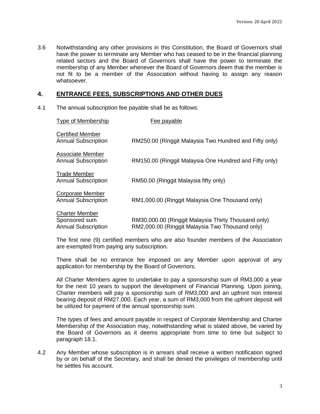3.6 Notwithstanding any other provisions in this Constitution, the Board of Governors shall have the power to terminate any Member who has ceased to be in the financial planning related sectors and the Board of Governors shall have the power to terminate the membership of any Member whenever the Board of Governors deem that the member is not fit to be a member of the Association without having to assign any reason whatsoever.

#### **4. ENTRANCE FEES, SUBSCRIPTIONS AND OTHER DUES**

4.1 The annual subscription fee payable shall be as follows:

| <b>Type of Membership</b>                                            | Fee payable                                                                                            |
|----------------------------------------------------------------------|--------------------------------------------------------------------------------------------------------|
| <b>Certified Member</b><br><b>Annual Subscription</b>                | RM250.00 (Ringgit Malaysia Two Hundred and Fifty only)                                                 |
| Associate Member<br><b>Annual Subscription</b>                       | RM150.00 (Ringgit Malaysia One Hundred and Fifty only)                                                 |
| <b>Trade Member</b><br><b>Annual Subscription</b>                    | RM50.00 (Ringgit Malaysia fifty only)                                                                  |
| <b>Corporate Member</b><br><b>Annual Subscription</b>                | RM1,000.00 (Ringgit Malaysia One Thousand only)                                                        |
| <b>Charter Member</b><br>Sponsored sum<br><b>Annual Subscription</b> | RM30,000.00 (Ringgit Malaysia Thirty Thousand only)<br>RM2,000.00 (Ringgit Malaysia Two Thousand only) |

The first nine (9) certified members who are also founder members of the Association are exempted from paying any subscription.

There shall be no entrance fee imposed on any Member upon approval of any application for membership by the Board of Governors.

All Charter Members agree to undertake to pay a sponsorship sum of RM3,000 a year for the next 10 years to support the development of Financial Planning. Upon joining, Charter members will pay a sponsorship sum of RM3,000 and an upfront non interest bearing deposit of RM27,000. Each year, a sum of RM3,000 from the upfront deposit will be utilized for payment of the annual sponsorship sum.

The types of fees and amount payable in respect of Corporate Membership and Charter Membership of the Association may, notwithstanding what is stated above, be varied by the Board of Governors as it deems appropriate from time to time but subject to paragraph 18.1.

4.2 Any Member whose subscription is in arrears shall receive a written notification signed by or on behalf of the Secretary, and shall be denied the privileges of membership until he settles his account.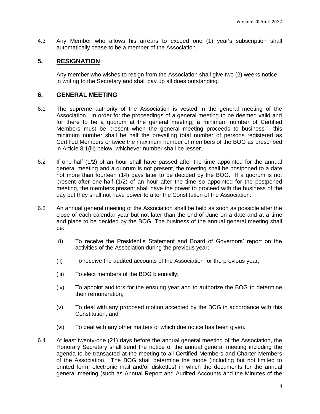4.3 Any Member who allows his arrears to exceed one (1) year's subscription shall automatically cease to be a member of the Association.

#### **5. RESIGNATION**

Any member who wishes to resign from the Association shall give two (2) weeks notice in writing to the Secretary and shall pay up all dues outstanding.

#### **6. GENERAL MEETING**

- 6.1 The supreme authority of the Association is vested in the general meeting of the Association. In order for the proceedings of a general meeting to be deemed valid and for there to be a quorum at the general meeting, a minimum number of Certified Members must be present when the general meeting proceeds to business - this minimum number shall be half the prevailing total number of persons registered as Certified Members or twice the maximum number of members of the BOG as prescribed in Article 8.1(iii) below, whichever number shall be lesser*.*
- 6.2 If one-half (1/2) of an hour shall have passed after the time appointed for the annual general meeting and a quorum is not present, the meeting shall be postponed to a date not more than fourteen (14) days later to be decided by the BOG. If a quorum is not present after one-half (1/2) of an hour after the time so appointed for the postponed meeting, the members present shall have the power to proceed with the business of the day but they shall not have power to alter the Constitution of the Association.
- 6.3 An annual general meeting of the Association shall be held as soon as possible after the close of each calendar year but not later than the end of June on a date and at a time and place to be decided by the BOG. The business of the annual general meeting shall be:
	- (i) To receive the President's Statement and Board of Governors' report on the activities of the Association during the previous year;
	- (ii) To receive the audited accounts of the Association for the previous year;
	- (iii) To elect members of the BOG biennially;
	- (iv) To appoint auditors for the ensuing year and to authorize the BOG to determine their remuneration;
	- (v) To deal with any proposed motion accepted by the BOG in accordance with this Constitution; and
	- (vi) To deal with any other matters of which due notice has been given.
- 6.4 At least twenty-one (21) days before the annual general meeting of the Association, the Honorary Secretary shall send the notice of the annual general meeting including the agenda to be transacted at the meeting to all Certified Members and Charter Members of the Association. The BOG shall determine the mode (including but not limited to printed form, electronic mail and/or diskettes) in which the documents for the annual general meeting (such as Annual Report and Audited Accounts and the Minutes of the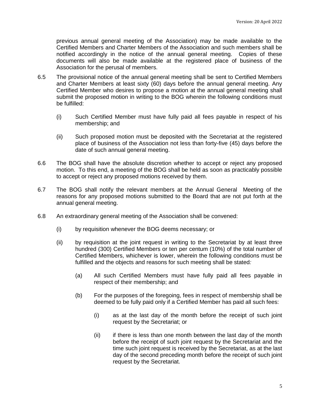previous annual general meeting of the Association) may be made available to the Certified Members and Charter Members of the Association and such members shall be notified accordingly in the notice of the annual general meeting. Copies of these documents will also be made available at the registered place of business of the Association for the perusal of members.

- 6.5 The provisional notice of the annual general meeting shall be sent to Certified Members and Charter Members at least sixty (60) days before the annual general meeting. Any Certified Member who desires to propose a motion at the annual general meeting shall submit the proposed motion in writing to the BOG wherein the following conditions must be fulfilled:
	- (i) Such Certified Member must have fully paid all fees payable in respect of his membership; and
	- (ii) Such proposed motion must be deposited with the Secretariat at the registered place of business of the Association not less than forty-five (45) days before the date of such annual general meeting.
- 6.6 The BOG shall have the absolute discretion whether to accept or reject any proposed motion. To this end, a meeting of the BOG shall be held as soon as practicably possible to accept or reject any proposed motions received by them.
- 6.7 The BOG shall notify the relevant members at the Annual General Meeting of the reasons for any proposed motions submitted to the Board that are not put forth at the annual general meeting.
- 6.8 An extraordinary general meeting of the Association shall be convened:
	- (i) by requisition whenever the BOG deems necessary; or
	- (ii) by requisition at the joint request in writing to the Secretariat by at least three hundred (300) Certified Members or ten per centum (10%) of the total number of Certified Members, whichever is lower, wherein the following conditions must be fulfilled and the objects and reasons for such meeting shall be stated*:*
		- (a) All such Certified Members must have fully paid all fees payable in respect of their membership; and
		- (b) For the purposes of the foregoing, fees in respect of membership shall be deemed to be fully paid only if a Certified Member has paid all such fees:
			- (i) as at the last day of the month before the receipt of such joint request by the Secretariat; or
			- (ii) if there is less than one month between the last day of the month before the receipt of such joint request by the Secretariat and the time such joint request is received by the Secretariat, as at the last day of the second preceding month before the receipt of such joint request by the Secretariat.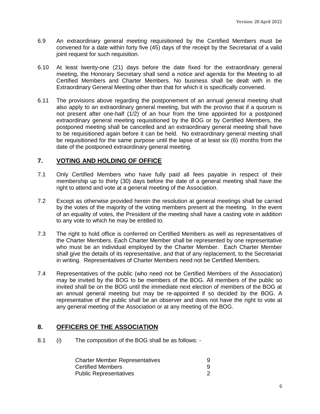- 6.9 An extraordinary general meeting requisitioned by the Certified Members must be convened for a date within forty five (45) days of the receipt by the Secretariat of a valid joint request for such requisition.
- 6.10 At least twenty-one (21) days before the date fixed for the extraordinary general meeting, the Honorary Secretary shall send a notice and agenda for the Meeting to all Certified Members and Charter Members. No business shall be dealt with in the Extraordinary General Meeting other than that for which it is specifically convened.
- 6.11 The provisions above regarding the postponement of an annual general meeting shall also apply to an extraordinary general meeting, but with the proviso that if a quorum is not present after one-half (1/2) of an hour from the time appointed for a postponed extraordinary general meeting requisitioned by the BOG or by Certified Members, the postponed meeting shall be cancelled and an extraordinary general meeting shall have to be requisitioned again before it can be held. No extraordinary general meeting shall be requisitioned for the same purpose until the lapse of at least six (6) months from the date of the postponed extraordinary general meeting.

#### **7. VOTING AND HOLDING OF OFFICE**

- 7.1 Only Certified Members who have fully paid all fees payable in respect of their membership up to thirty (30) days before the date of a general meeting shall have the right to attend and vote at a general meeting of the Association.
- 7.2 Except as otherwise provided herein the resolution at general meetings shall be carried by the votes of the majority of the voting members present at the meeting. In the event of an equality of votes, the President of the meeting shall have a casting vote in addition to any vote to which he may be entitled to.
- 7.3 The right to hold office is conferred on Certified Members as well as representatives of the Charter Members. Each Charter Member shall be represented by one representative who must be an individual employed by the Charter Member. Each Charter Member shall give the details of its representative, and that of any replacement, to the Secretariat in writing. Representatives of Charter Members need not be Certified Members.
- 7.4 Representatives of the public (who need not be Certified Members of the Association) may be invited by the BOG to be members of the BOG. All members of the public so invited shall be on the BOG until the immediate next election of members of the BOG at an annual general meeting but may be re-appointed if so decided by the BOG. A representative of the public shall be an observer and does not have the right to vote at any general meeting of the Association or at any meeting of the BOG.

#### **8. OFFICERS OF THE ASSOCIATION**

8.1 (i) The composition of the BOG shall be as follows: -

| <b>Charter Member Representatives</b> |  |
|---------------------------------------|--|
| Certified Members                     |  |
| <b>Public Representatives</b>         |  |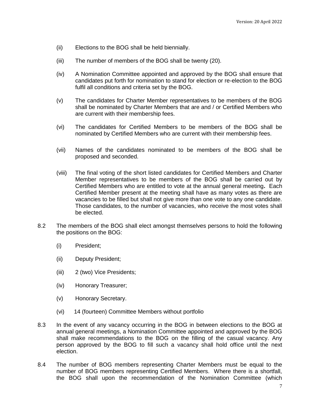- (ii) Elections to the BOG shall be held biennially.
- (iii) The number of members of the BOG shall be twenty (20).
- (iv) A Nomination Committee appointed and approved by the BOG shall ensure that candidates put forth for nomination to stand for election or re-election to the BOG fulfil all conditions and criteria set by the BOG.
- (v) The candidates for Charter Member representatives to be members of the BOG shall be nominated by Charter Members that are and / or Certified Members who are current with their membership fees.
- (vi) The candidates for Certified Members to be members of the BOG shall be nominated by Certified Members who are current with their membership fees.
- (vii) Names of the candidates nominated to be members of the BOG shall be proposed and seconded.
- (viii) The final voting of the short listed candidates for Certified Members and Charter Member representatives to be members of the BOG shall be carried out by Certified Members who are entitled to vote at the annual general meeting**.** Each Certified Member present at the meeting shall have as many votes as there are vacancies to be filled but shall not give more than one vote to any one candidate. Those candidates, to the number of vacancies, who receive the most votes shall be elected.
- 8.2 The members of the BOG shall elect amongst themselves persons to hold the following the positions on the BOG:
	- (i) President;
	- (ii) Deputy President;
	- (iii) 2 (two) Vice Presidents;
	- (iv) Honorary Treasurer;
	- (v) Honorary Secretary.
	- (vi) 14 (fourteen) Committee Members without portfolio
- 8.3 In the event of any vacancy occurring in the BOG in between elections to the BOG at annual general meetings, a Nomination Committee appointed and approved by the BOG shall make recommendations to the BOG on the filling of the casual vacancy. Any person approved by the BOG to fill such a vacancy shall hold office until the next election.
- 8.4 The number of BOG members representing Charter Members must be equal to the number of BOG members representing Certified Members. Where there is a shortfall, the BOG shall upon the recommendation of the Nomination Committee (which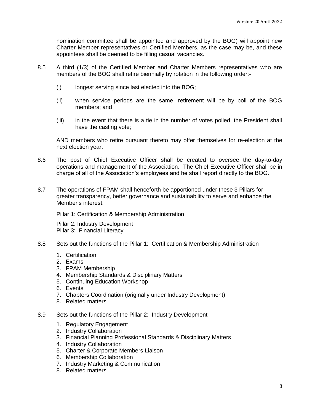nomination committee shall be appointed and approved by the BOG) will appoint new Charter Member representatives or Certified Members, as the case may be, and these appointees shall be deemed to be filling casual vacancies.

- 8.5 A third (1/3) of the Certified Member and Charter Members representatives who are members of the BOG shall retire biennially by rotation in the following order:-
	- (i) longest serving since last elected into the BOG;
	- (ii) when service periods are the same, retirement will be by poll of the BOG members; and
	- (iii) in the event that there is a tie in the number of votes polled, the President shall have the casting vote;

AND members who retire pursuant thereto may offer themselves for re-election at the next election year.

- 8.6 The post of Chief Executive Officer shall be created to oversee the day-to-day operations and management of the Association. The Chief Executive Officer shall be in charge of all of the Association's employees and he shall report directly to the BOG.
- 8.7 The operations of FPAM shall henceforth be apportioned under these 3 Pillars for greater transparency, better governance and sustainability to serve and enhance the Member's interest.

Pillar 1: Certification & Membership Administration

Pillar 2: Industry Development Pillar 3: Financial Literacy

- 8.8 Sets out the functions of the Pillar 1: Certification & Membership Administration
	- 1. Certification
	- 2. Exams
	- 3. FPAM Membership
	- 4. Membership Standards & Disciplinary Matters
	- 5. Continuing Education Workshop
	- 6. Events
	- 7. Chapters Coordination (originally under Industry Development)
	- 8. Related matters
- 8.9 Sets out the functions of the Pillar 2: Industry Development
	- 1. Regulatory Engagement
	- 2. Industry Collaboration
	- 3. Financial Planning Professional Standards & Disciplinary Matters
	- 4. Industry Collaboration
	- 5. Charter & Corporate Members Liaison
	- 6. Membership Collaboration
	- 7. Industry Marketing & Communication
	- 8. Related matters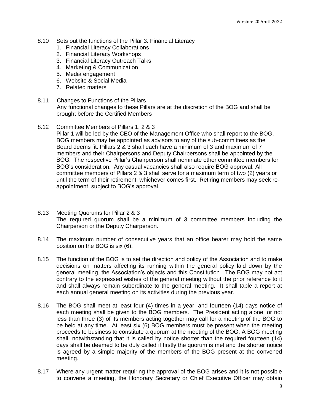- 8.10 Sets out the functions of the Pillar 3: Financial Literacy
	- 1. Financial Literacy Collaborations
	- 2. Financial Literacy Workshops
	- 3. Financial Literacy Outreach Talks
	- 4. Marketing & Communication
	- 5. Media engagement
	- 6. Website & Social Media
	- 7. Related matters
- 8.11 Changes to Functions of the Pillars Any functional changes to these Pillars are at the discretion of the BOG and shall be brought before the Certified Members
- 8.12 Committee Members of Pillars 1, 2 & 3
	- Pillar 1 will be led by the CEO of the Management Office who shall report to the BOG. BOG members may be appointed as advisors to any of the sub-committees as the Board deems fit. Pillars 2 & 3 shall each have a minimum of 3 and maximum of 7 members and their Chairpersons and Deputy Chairpersons shall be appointed by the BOG. The respective Pillar's Chairperson shall nominate other committee members for BOG's consideration. Any casual vacancies shall also require BOG approval. All committee members of Pillars 2 & 3 shall serve for a maximum term of two (2) years or until the term of their retirement, whichever comes first. Retiring members may seek reappointment, subject to BOG's approval.
- 8.13 Meeting Quorums for Pillar 2 & 3 The required quorum shall be a minimum of 3 committee members including the Chairperson or the Deputy Chairperson.
- 8.14 The maximum number of consecutive years that an office bearer may hold the same position on the BOG is six (6).
- 8.15 The function of the BOG is to set the direction and policy of the Association and to make decisions on matters affecting its running within the general policy laid down by the general meeting, the Association's objects and this Constitution. The BOG may not act contrary to the expressed wishes of the general meeting without the prior reference to it and shall always remain subordinate to the general meeting. It shall table a report at each annual general meeting on its activities during the previous year.
- 8.16 The BOG shall meet at least four (4) times in a year, and fourteen (14) days notice of each meeting shall be given to the BOG members. The President acting alone, or not less than three (3) of its members acting together may call for a meeting of the BOG to be held at any time. At least six (6) BOG members must be present when the meeting proceeds to business to constitute a quorum at the meeting of the BOG. A BOG meeting shall, notwithstanding that it is called by notice shorter than the required fourteen (14) days shall be deemed to be duly called if firstly the quorum is met and the shorter notice is agreed by a simple majority of the members of the BOG present at the convened meeting.
- 8.17 Where any urgent matter requiring the approval of the BOG arises and it is not possible to convene a meeting, the Honorary Secretary or Chief Executive Officer may obtain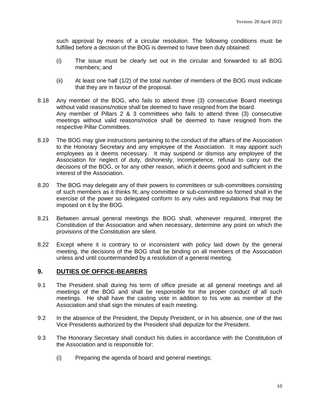such approval by means of a circular resolution. The following conditions must be fulfilled before a decision of the BOG is deemed to have been duly obtained:

- (i) The issue must be clearly set out in the circular and forwarded to all BOG members; and
- (ii) At least one half (1/2) of the total number of members of the BOG must indicate that they are in favour of the proposal.
- 8.18 Any member of the BOG, who fails to attend three (3) consecutive Board meetings without valid reasons/notice shall be deemed to have resigned from the board. Any member of Pillars 2 & 3 committees who fails to attend three (3) consecutive meetings without valid reasons/notice shall be deemed to have resigned from the respective Pillar Committees.
- 8.19 The BOG may give instructions pertaining to the conduct of the affairs of the Association to the Honorary Secretary and any employee of the Association. It may appoint such employees as it deems necessary. It may suspend or dismiss any employee of the Association for neglect of duty, dishonesty, incompetence, refusal to carry out the decisions of the BOG, or for any other reason, which it deems good and sufficient in the interest of the Association.
- 8.20 The BOG may delegate any of their powers to committees or sub-committees consisting of such members as it thinks fit; any committee or sub-committee so formed shall in the exercise of the power so delegated conform to any rules and regulations that may be imposed on it by the BOG.
- 8.21 Between annual general meetings the BOG shall, whenever required, interpret the Constitution of the Association and when necessary, determine any point on which the provisions of the Constitution are silent.
- 8.22 Except where it is contrary to or inconsistent with policy laid down by the general meeting, the decisions of the BOG shall be binding on all members of the Association unless and until countermanded by a resolution of a general meeting.

#### **9. DUTIES OF OFFICE-BEARERS**

- 9.1 The President shall during his term of office preside at all general meetings and all meetings of the BOG and shall be responsible for the proper conduct of all such meetings. He shall have the casting vote in addition to his vote as member of the Association and shall sign the minutes of each meeting.
- 9.2 In the absence of the President, the Deputy President, or in his absence, one of the two Vice Presidents authorized by the President shall deputize for the President.
- 9.3 The Honorary Secretary shall conduct his duties in accordance with the Constitution of the Association and is responsible for:
	- (i) Preparing the agenda of board and general meetings;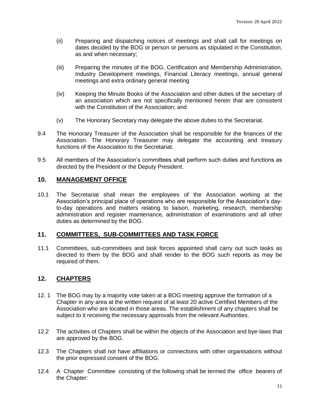- (ii) Preparing and dispatching notices of meetings and shall call for meetings on dates decided by the BOG or person or persons as stipulated in the Constitution, as and when necessary;
- (iii) Preparing the minutes of the BOG, Certification and Membership Administration, Industry Development meetings, Financial Literacy meetings, annual general meetings and extra ordinary general meeting
- (iv) Keeping the Minute Books of the Association and other duties of the secretary of an association which are not specifically mentioned herein that are consistent with the Constitution of the Association; and
- (v) The Honorary Secretary may delegate the above duties to the Secretariat.
- 9.4 The Honorary Treasurer of the Association shall be responsible for the finances of the Association. The Honorary Treasurer may delegate the accounting and treasury functions of the Association to the Secretariat.
- 9.5 All members of the Association's committees shall perform such duties and functions as directed by the President or the Deputy President.

#### **10. MANAGEMENT OFFICE**

10.1 The Secretariat shall mean the employees of the Association working at the Association's principal place of operations who are responsible for the Association's dayto-day operations and matters relating to liaison, marketing, research, membership administration and register maintenance, administration of examinations and all other duties as determined by the BOG.

#### **11. COMMITTEES, SUB-COMMITTEES AND TASK FORCE**

11.1 Committees, sub-committees and task forces appointed shall carry out such tasks as directed to them by the BOG and shall render to the BOG such reports as may be required of them.

#### **12. CHAPTERS**

- 12. 1 The BOG may by a majority vote taken at a BOG meeting approve the formation of a Chapter in any area at the written request of at least 20 active Certified Members of the Association who are located in those areas. The establishment of any chapters shall be subject to it receiving the necessary approvals from the relevant Authorities.
- 12.2 The activities of Chapters shall be within the objects of the Association and bye-laws that are approved by the BOG.
- 12.3 The Chapters shall not have affiliations or connections with other organisations without the prior expressed consent of the BOG.
- 12.4 A Chapter Committee consisting of the following shall be termed the office bearers of the Chapter: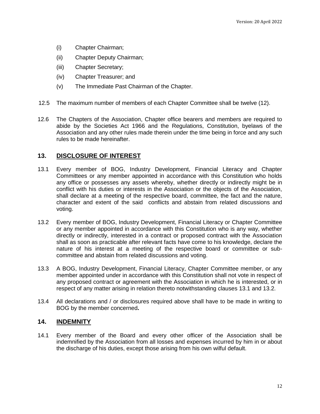- (i) Chapter Chairman;
- (ii) Chapter Deputy Chairman;
- (iii) Chapter Secretary;
- (iv) Chapter Treasurer; and
- (v) The Immediate Past Chairman of the Chapter.
- 12.5 The maximum number of members of each Chapter Committee shall be twelve (12).
- 12.6 The Chapters of the Association, Chapter office bearers and members are required to abide by the Societies Act 1966 and the Regulations, Constitution, byelaws of the Association and any other rules made therein under the time being in force and any such rules to be made hereinafter.

#### **13. DISCLOSURE OF INTEREST**

- 13.1 Every member of BOG, Industry Development, Financial Literacy and Chapter Committees or any member appointed in accordance with this Constitution who holds any office or possesses any assets whereby, whether directly or indirectly might be in conflict with his duties or interests in the Association or the objects of the Association, shall declare at a meeting of the respective board, committee, the fact and the nature, character and extent of the said conflicts and abstain from related discussions and voting.
- 13.2 Every member of BOG, Industry Development, Financial Literacy or Chapter Committee or any member appointed in accordance with this Constitution who is any way, whether directly or indirectly, interested in a contract or proposed contract with the Association shall as soon as practicable after relevant facts have come to his knowledge, declare the nature of his interest at a meeting of the respective board or committee or subcommittee and abstain from related discussions and voting.
- 13.3 A BOG, Industry Development, Financial Literacy, Chapter Committee member, or any member appointed under in accordance with this Constitution shall not vote in respect of any proposed contract or agreement with the Association in which he is interested, or in respect of any matter arising in relation thereto notwithstanding clauses 13.1 and 13.2.
- 13.4 All declarations and / or disclosures required above shall have to be made in writing to BOG by the member concerned**.**

#### **14. INDEMNITY**

14.1 Every member of the Board and every other officer of the Association shall be indemnified by the Association from all losses and expenses incurred by him in or about the discharge of his duties, except those arising from his own wilful default.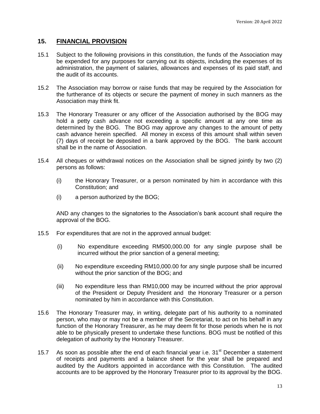#### **15. FINANCIAL PROVISION**

- 15.1 Subject to the following provisions in this constitution, the funds of the Association may be expended for any purposes for carrying out its objects, including the expenses of its administration, the payment of salaries, allowances and expenses of its paid staff, and the audit of its accounts.
- 15.2 The Association may borrow or raise funds that may be required by the Association for the furtherance of its objects or secure the payment of money in such manners as the Association may think fit.
- 15.3 The Honorary Treasurer or any officer of the Association authorised by the BOG may hold a petty cash advance not exceeding a specific amount at any one time as determined by the BOG. The BOG may approve any changes to the amount of petty cash advance herein specified. All money in excess of this amount shall within seven (7) days of receipt be deposited in a bank approved by the BOG. The bank account shall be in the name of Association.
- 15.4 All cheques or withdrawal notices on the Association shall be signed jointly by two (2) persons as follows:
	- (i) the Honorary Treasurer, or a person nominated by him in accordance with this Constitution; and
	- (i) a person authorized by the BOG;

AND any changes to the signatories to the Association's bank account shall require the approval of the BOG.

- 15.5 For expenditures that are not in the approved annual budget:
	- (i) No expenditure exceeding RM500,000.00 for any single purpose shall be incurred without the prior sanction of a general meeting;
	- (ii) No expenditure exceeding RM10,000.00 for any single purpose shall be incurred without the prior sanction of the BOG; and
	- (iii) No expenditure less than RM10,000 may be incurred without the prior approval of the President or Deputy President and the Honorary Treasurer or a person nominated by him in accordance with this Constitution.
- 15.6 The Honorary Treasurer may, in writing, delegate part of his authority to a nominated person, who may or may not be a member of the Secretariat, to act on his behalf in any function of the Honorary Treasurer, as he may deem fit for those periods when he is not able to be physically present to undertake these functions. BOG must be notified of this delegation of authority by the Honorary Treasurer.
- 15.7 As soon as possible after the end of each financial year i.e. 31<sup>st</sup> December a statement of receipts and payments and a balance sheet for the year shall be prepared and audited by the Auditors appointed in accordance with this Constitution. The audited accounts are to be approved by the Honorary Treasurer prior to its approval by the BOG.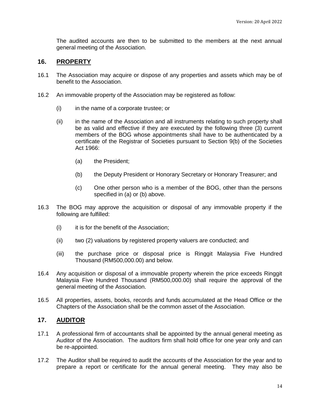The audited accounts are then to be submitted to the members at the next annual general meeting of the Association.

#### **16. PROPERTY**

- 16.1 The Association may acquire or dispose of any properties and assets which may be of benefit to the Association.
- 16.2 An immovable property of the Association may be registered as follow:
	- (i) in the name of a corporate trustee; or
	- (ii) in the name of the Association and all instruments relating to such property shall be as valid and effective if they are executed by the following three (3) current members of the BOG whose appointments shall have to be authenticated by a certificate of the Registrar of Societies pursuant to Section 9(b) of the Societies Act 1966:
		- (a) the President;
		- (b) the Deputy President or Honorary Secretary or Honorary Treasurer; and
		- (c) One other person who is a member of the BOG, other than the persons specified in (a) or (b) above.
- 16.3 The BOG may approve the acquisition or disposal of any immovable property if the following are fulfilled:
	- (i) it is for the benefit of the Association;
	- (ii) two (2) valuations by registered property valuers are conducted; and
	- (iii) the purchase price or disposal price is Ringgit Malaysia Five Hundred Thousand (RM500,000.00) and below.
- 16.4 Any acquisition or disposal of a immovable property wherein the price exceeds Ringgit Malaysia Five Hundred Thousand (RM500,000.00) shall require the approval of the general meeting of the Association.
- 16.5 All properties, assets, books, records and funds accumulated at the Head Office or the Chapters of the Association shall be the common asset of the Association.

#### **17. AUDITOR**

- 17.1 A professional firm of accountants shall be appointed by the annual general meeting as Auditor of the Association. The auditors firm shall hold office for one year only and can be re-appointed.
- 17.2 The Auditor shall be required to audit the accounts of the Association for the year and to prepare a report or certificate for the annual general meeting. They may also be